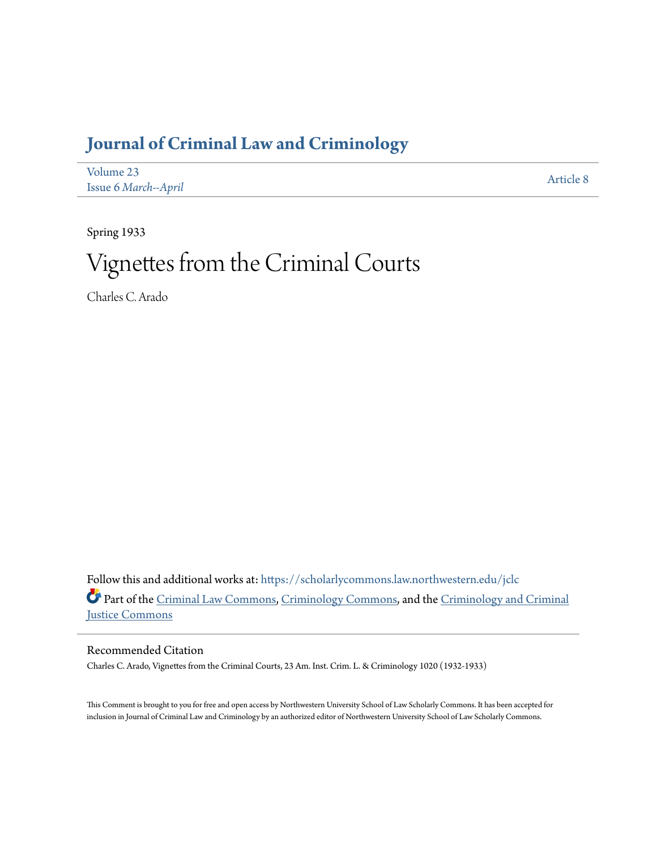## **[Journal of Criminal Law and Criminology](https://scholarlycommons.law.northwestern.edu/jclc?utm_source=scholarlycommons.law.northwestern.edu%2Fjclc%2Fvol23%2Fiss6%2F8&utm_medium=PDF&utm_campaign=PDFCoverPages)**

| Volume 23                   | Article 8 |
|-----------------------------|-----------|
| <b>Issue 6 March--April</b> |           |

Spring 1933

# Vignettes from the Criminal Courts

Charles C. Arado

Follow this and additional works at: [https://scholarlycommons.law.northwestern.edu/jclc](https://scholarlycommons.law.northwestern.edu/jclc?utm_source=scholarlycommons.law.northwestern.edu%2Fjclc%2Fvol23%2Fiss6%2F8&utm_medium=PDF&utm_campaign=PDFCoverPages) Part of the [Criminal Law Commons](http://network.bepress.com/hgg/discipline/912?utm_source=scholarlycommons.law.northwestern.edu%2Fjclc%2Fvol23%2Fiss6%2F8&utm_medium=PDF&utm_campaign=PDFCoverPages), [Criminology Commons](http://network.bepress.com/hgg/discipline/417?utm_source=scholarlycommons.law.northwestern.edu%2Fjclc%2Fvol23%2Fiss6%2F8&utm_medium=PDF&utm_campaign=PDFCoverPages), and the [Criminology and Criminal](http://network.bepress.com/hgg/discipline/367?utm_source=scholarlycommons.law.northwestern.edu%2Fjclc%2Fvol23%2Fiss6%2F8&utm_medium=PDF&utm_campaign=PDFCoverPages) [Justice Commons](http://network.bepress.com/hgg/discipline/367?utm_source=scholarlycommons.law.northwestern.edu%2Fjclc%2Fvol23%2Fiss6%2F8&utm_medium=PDF&utm_campaign=PDFCoverPages)

### Recommended Citation

Charles C. Arado, Vignettes from the Criminal Courts, 23 Am. Inst. Crim. L. & Criminology 1020 (1932-1933)

This Comment is brought to you for free and open access by Northwestern University School of Law Scholarly Commons. It has been accepted for inclusion in Journal of Criminal Law and Criminology by an authorized editor of Northwestern University School of Law Scholarly Commons.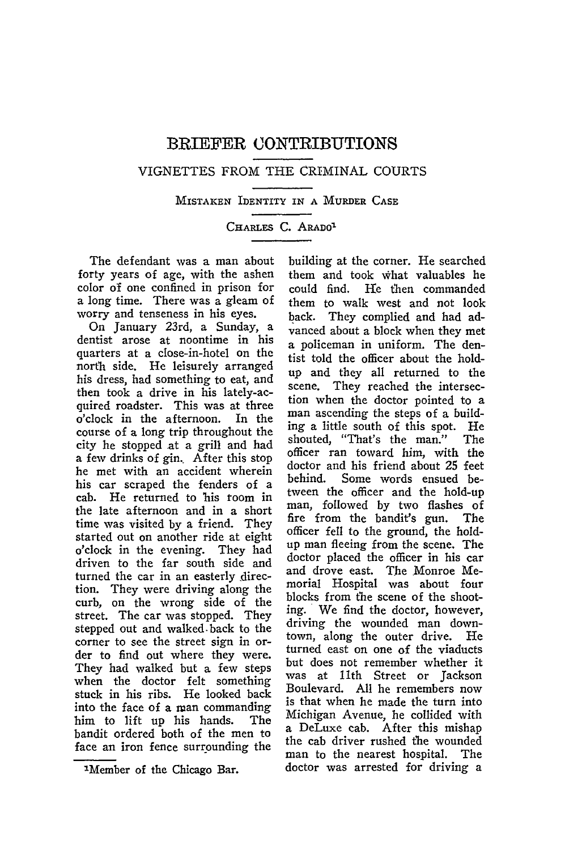#### BRIEFER CONTRIBUTIONS

#### VIGNETTES FROM THE CRIMINAL COURTS

MISTAKEN IDENTITY **IN A** MURDER CASE

CHARLES C. ARADo'

The defendant was a man about forty years of age, with the ashen color of one confined in prison for a long time. There was a gleam of worry and tenseness in his eyes.

On January 23rd, a Sunday, a dentist arose at noontime in his quarters at a close-in-hotel on the north side. He leisurely arranged his dress, had something to eat, and then took a drive in his lately-acquired roadster. This was at three o'clock in the afternoon. In the course of a long trip throughout the city he stopped at a grill and had a few drinks of gin. After this stop he met with an accident wherein his car scraped the fenders of a cab. He returned to his room in the late afternoon and in a short time was visited by a friend. They started out on another ride at eight o'clock in the evening. They had driven to the far south side and turned the car in an easterly direction. They were driving along the curb, on the wrong side of the street. The car was stopped. They stepped out and walked.back to the corner to see the street sign in order to find out where they were. They had walked but a few steps when the doctor felt something stuck in his ribs. He looked back into the face of a man commanding him to lift up his hands. The bandit ordered both of the men to face an iron fence surrounding the

building at the corner. He searched them and took What valuables he could find. He then commanded them to walk west and not look back. They complied and had advanced about a block when they met a policeman in uniform. The dentist told the officer about the holdup and they all returned to the scene. They reached the intersection when the doctor pointed to a man ascending the steps of a building a little south of this spot. He shouted, "That's the man." The officer ran toward him, with the doctor and his friend about 25 feet behind. Some words ensued between the officer and the hold-up man, followed by two flashes of fire from the bandit's gun. The officer fell to the ground, the holdup man fleeing from the scene. The doctor placed the officer in his car and drove east. The Monroe Memorial Hospital was about four blocks from the scene of the shooting. We find the doctor, however, driving the wounded man downtown, along the outer drive. He turned east on one of the viaducts but does not remember whether it was at 11th Street or Jackson Boulevard. All he remembers now is that when he made the turn into Michigan Avenue, he collided with a DeLuxe cab. After this mishap the cab driver rushed the wounded man to the nearest hospital. The doctor was arrested for driving a

<sup>&</sup>quot;Member of the Chicago Bar.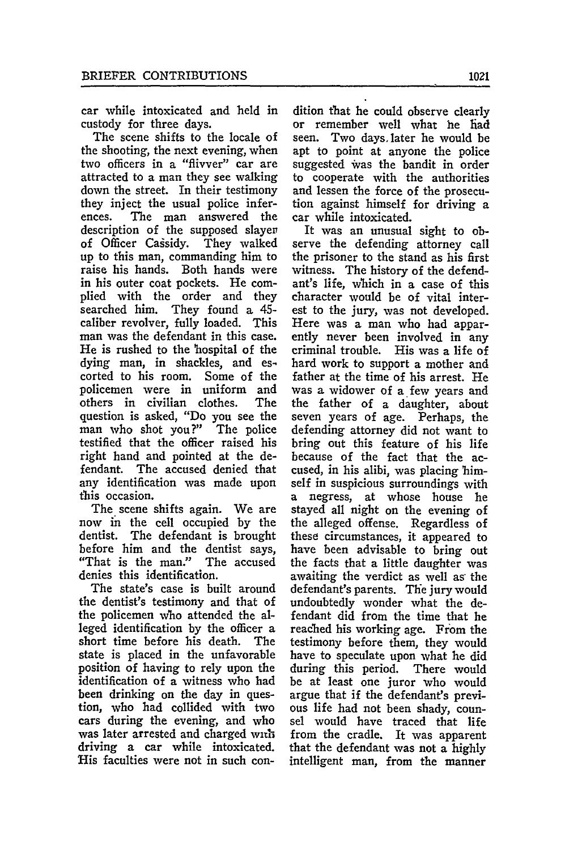car while intoxicated and held in custody for three days.

The scene shifts to the locale of the shooting, the next evening, when two officers in a "flivver" car are attracted to a man they see walking down the street. In their testimony they inject the usual police inferences. The man answered the description of the supposed slayer of Officer Cassidy. They walked up to this man, commanding him to raise his hands. Both hands were in his outer coat pockets. He complied with the order and they searched him. They found a 45 caliber revolver, fully loaded. This man was the defendant in this case. He is rushed to the 'hospital of the dying man, in shackles, and escorted to his room. Some of the policemen were in uniform and others in civilian clothes. The question is asked, "Do you see the man who shot you?" The police testified that the officer raised his right hand and pointed at the defendant. The accused denied that any identification was made upon this occasion.

The scene shifts again. We are now in the cell occupied **by** the dentist. The defendant is brought before him and the dentist says, "That is the man." The accused denies this identification.

The state's case is built around the dentist's testimony and that of the policemen who attended the alleged identification **by** the officer a short time before his death. The state is placed in the unfavorable position of having to rely upon the identification of a witness who had been drinking on the day in question, who had collided with two cars during the evening, and who was later arrested and charged with driving a car while intoxicated. His faculties were not in such con-

dition that he could observe clearly or remember well what he had seen. Two days. later he would be apt to point at anyone the police suggested was the bandit in order to cooperate with the authorities and lessen the force of the prosecution against himself for driving a car while intoxicated.

It was an unusual sight to observe the defending attorney call the prisoner to the stand as his first witness. The history of the defendant's life, which in a case of this character would be of vital interest to the jury, **was** not developed. Here was a man who had apparently never been involved in any criminal trouble. His was a life of hard work to support a mother and father at the time of his arrest. He was a widower of a few years and the father of a daughter, about seven years of age. Perhaps, the defending attorney did not want to bring out this feature of his life because of the fact that the accused, in his alibi, was placing himself in suspicious surroundings with a negress, at whose house he stayed all night on the evening of the alleged offense. Regardless of these circumstances, it appeared to have been advisable to bring out the facts that a little daughter was awaiting the verdict as well as the defendant's parents. The jury would undoubtedly wonder what the defendant did from the time that he reached his working age. From the testimony before them, they would have to speculate upon what he did during this period. There would be at least one juror who would argue that if the defendant's previous life had not been shady, counsel would have traced that life from the cradle. It was apparent that the defendant was not a **highly** intelligent man, from the manner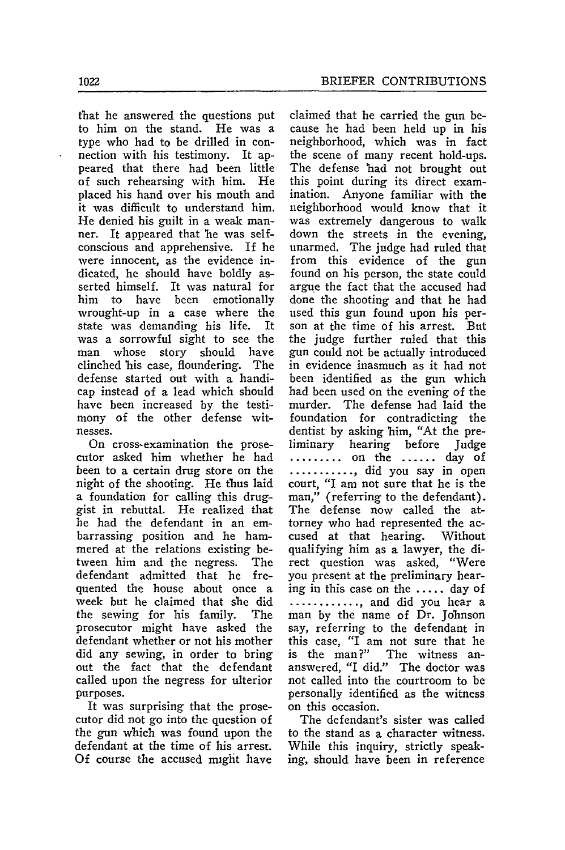that he answered the questions put to him on the stand. He was a type who had to be drilled in connection with his testimony. It appeared that there had been little of such rehearsing with him. He placed his hand over his mouth and it was difficult to understand him. He denied his guilt in a weak manner. It appeared that he was selfconscious and apprehensive. If he were innocent, as the evidence indicated, he should have boldly asserted himself. It was natural for him to have been emotionally wrought-up in a case where the state was demanding his life. It was a sorrowful sight to see the man whose story should have clinched his case, floundering. The defense started out with a handicap instead of a lead which should have been increased by the testimony of the other defense witnesses.

On cross-examination the prosecutor asked him whether he had been to a certain drug store on the night of the shooting. He thus laid a foundation for calling this druggist in rebuttal. He realized that he had the defendant in an embarrassing position and he hammered at the relations existing between him and the negress. The defendant admitted that he frequented the house about once a week but he claimed that she did the sewing for his family. The prosecutor might have asked the defendant whether or not his mother did any sewing, in order to bring out the fact that the defendant called upon the negress for ulterior purposes.

It was surprising that the prosecutor did not go into the question of the gun which was found upon the defendant at the time of his arrest. Of course the accused might have

claimed that he carried the gun because he had been held up in his neighborhood, which was in fact the scene of many recent hold-ups. The defense had not brought out this point during its direct examination. Anyone familiar with the neighborhood would know that it was extremely dangerous to walk down the streets in the evening, unarmed. The judge had ruled that from this evidence of the gun found on his person, the state could argue the fact that the accused had done the shooting and that he had used this gun found upon his person at the time of his arrest. But the judge further ruled that this gun could not be actually introduced in evidence inasmuch as it had not been identified as the gun which had been used on the evening of the murder. The defense had laid the foundation for contradicting the dentist by asking him, "At the preliminary hearing before Judge **.........** on the ...... day of **...........** *,* did you say in open court, "I am not sure that he is the man," (referring to the defendant). The defense now called the attorney who had represented the accused at that hearing. Without qualifying him as a lawyer, the direct question was asked, "Were you present at the preliminary hearing in this case on the **.....** day of **............** , and did you hear a man by the name of Dr. Johnson say, referring to the defendant in this case, "I am not sure that he is the man?" The witness ananswered, "I did." The doctor was not called into the courtroom to be personally identified as the witness on this occasion.

The defendant's sister was called to the stand as a character witness. While this inquiry, strictly speaking, should have been in reference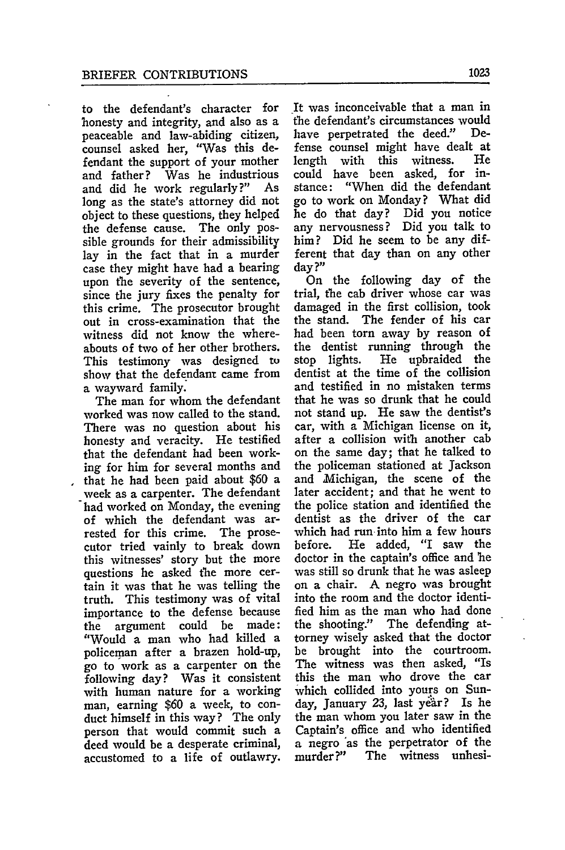to the defendant's character for honesty and integrity, and also as a peaceable and law-abiding citizen, counsel asked her, "Was this defendant the support of your mother and father? Was he industrious<br>and did he work regularly?" As and did he work regularly?" long as the state's attorney did not object to these questions, they helped the defense cause. The only possible grounds for their admissibility lay in the fact that in a murder case they might have had a bearing upon the severity of the sentence, since the jury fixes the penalty for this crime. The prosecutor brought out in cross-examination that the witness did not know the whereabouts of two of her other brothers. This testimony was designed to show that the defendant came from a wayward family.

The man for whom the defendant worked was now called to the stand. There was no question about his honesty and veracity. He testified that the defendant had been working for him for several months and - that he had been paid about \$60 a week as a carpenter. The defendant had worked on Monday, the evening of which the defendant was arrested for this crime. The prosecutor tried vainly to break down this witnesses' story but the more questions he asked the more certain it was that he was telling the truth. This testimony was of vital importance to the defense because the argument could be made: "Would a man who had killed a policeman after a brazen hold-up, go to work as a carpenter on the following day? Was it consistent with human nature for a working man, earning \$60 a week, to conduct himself in this way? The only person that would commit such a deed would be a desperate criminal, accustomed to a life of outlawry.

It was inconceivable that a man in the defendant's circumstances would have perpetrated the deed." Defense counsel might have dealt at length with this witness. He could have been asked, for instance: "When did the defendant go to work on Monday? What did he do that day? Did you notice any nervousness? Did you talk to him? Did he seem to be any different that day than on any other day?"

On the following day of the trial, the cab driver whose car was damaged in the first collision, took the stand. The fender of his car had been torn away by reason of the dentist running through the stop lights. He upbraided the dentist at the time of the collision and testified in no mistaken terms that he was so drunk that he could not stand up. He saw the dentist's car, with a Michigan license on it, after a collision with another cab on the same day; that he talked to the policeman stationed at Jackson and Michigan, the scene of the later accident; and that he went to the police station and identified the dentist as the driver of the car which had run into him a few hours before. He added, "I saw the doctor in the captain's office and he was still so drunk that he was asleep on a chair. A negro was brought into the room and the doctor identified him as the man who had done the shooting." The defending attorney wisely asked that the doctor be brought into the courtroom. The witness was then asked, "Is this the man who drove the car which collided into yours on Sunday, January 23, last ye'ar? Is he the man whom you later saw in the Captain's office and who identified a negro as the perpetrator of the murder?" The witness unhesi-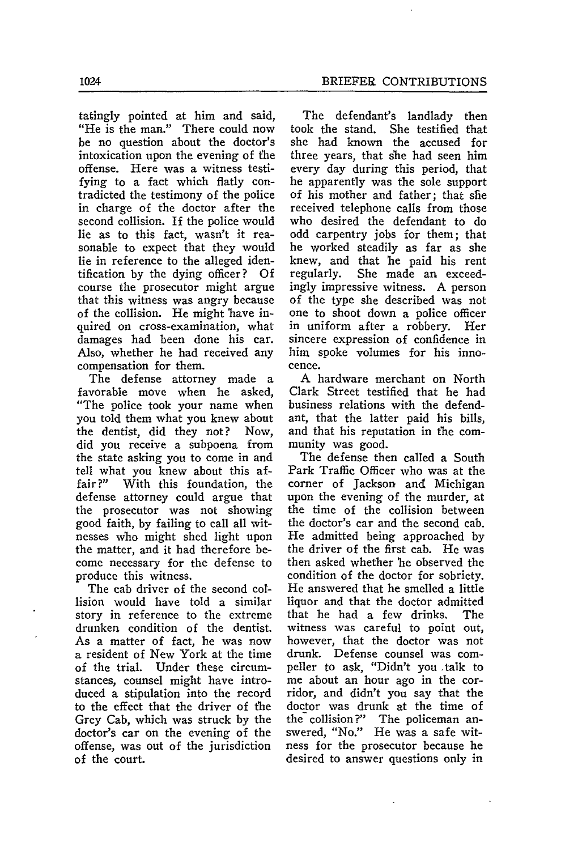tatingly pointed at him and said, "He is the man." There could now be no question about the doctor's intoxication upon the evening of the offense. Here was a witness testifying to a fact which flatly contradicted the testimony of the police in charge of the doctor after the second collision. If the police would lie as to this fact, wasn't it reasonable to expect that they would lie in reference to the alleged identification by the dying officer? Of course the prosecutor might argue that this witness was angry because of the collision. He might have inquired on cross-examination, what damages had been done his car. Also, whether he had received any compensation for them.

The defense attorney made a favorable move when he asked, "The police took your name when you told them what you knew about the dentist, did they not? Now, did you receive a subpoena from the state asking you to come in and tell what you knew about this affair?" With this foundation, the defense attorney could argue that the prosecutor was not showing good faith, by failing to call all witnesses who might shed light upon the matter, and it had therefore become necessary for the defense to produce this witness.

The cab driver of the second collision would have told a similar story in reference to the extreme drunken condition of the dentist. As a matter of fact, he was now a resident of New York at the time of the trial. Under these circumstances, counsel might have introduced a stipulation into the record to the effect that the driver of the Grey Cab, which was struck by the doctor's car on the evening of the offense, was out of the jurisdiction of the court.

The defendant's landlady then took the stand. She testified that she had known the accused for three years, that she had seen him every day during this period, that he apparently was the sole support of his mother and father; that she received telephone calls from those who desired the defendant to do odd carpentry jobs for them; that he worked steadily as far as she knew, and that he paid his rent regularly. She made an exceedingly impressive witness. A person of the type she described was not one to shoot down a police officer in uniform after a robbery. Her sincere expression of confidence in him spoke volumes for his innocence.

A hardware merchant on North Clark Street testified that he had business relations with the defendant, that the latter paid his bills, and that his reputation in the community was good.

The defense then called a South Park Traffic Officer who was at the corner of Jackson and Michigan upon the evening of the murder, at the time of the collision between the doctor's car and the second cab. He admitted being approached by the driver of the first cab. He was then asked whether he observed the condition of the doctor for sobriety. He answered that he smelled a little liquor and that the doctor admitted that he had a few drinks. The witness was careful to point out, however, that the doctor was not drunk. Defense counsel was compeller to ask, "Didn't you talk to me about an hour ago in the corridor, and didn't you say that the doctor was drunk at the time of the collision ?" The policeman answered, "No." He was a safe witness for the prosecutor because he desired to answer questions only in